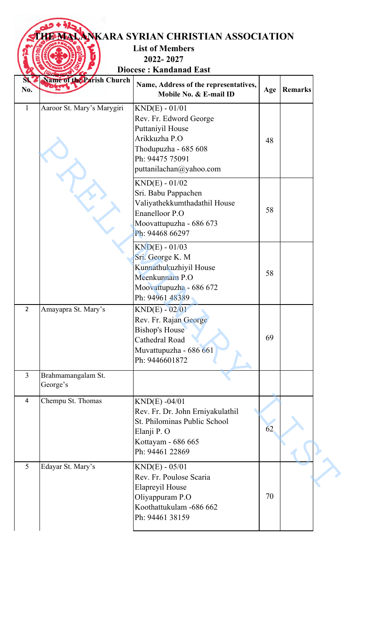## **THE MARA SYRIAN CHRISTIAN ASSOCIATION**

**List of Members** 

**2022- 2027**

**Diocese : Kandanad East**

| SKZ<br>No.     | Name of the Parish Church      | Name, Address of the representatives,<br>Mobile No. & E-mail ID                                                                                       | Age | Remarks |
|----------------|--------------------------------|-------------------------------------------------------------------------------------------------------------------------------------------------------|-----|---------|
| $\mathbf{1}$   | Aaroor St. Mary's Marygiri     | $KND(E) - 01/01$<br>Rev. Fr. Edword George<br>Puttaniyil House<br>Arikkuzha P.O<br>Thodupuzha - 685 608<br>Ph: 94475 75091<br>puttanilachan@yahoo.com | 48  |         |
|                |                                | $KND(E) - 01/02$<br>Sri. Babu Pappachen<br>Valiyathekkumthadathil House<br><b>Enanelloor P.O</b><br>Moovattupuzha - 686 673<br>Ph: 94468 66297        | 58  |         |
|                |                                | $KND(E) - 01/03$<br>Sri. George K. M<br>Kunnathukuzhiyil House<br>Meenkunnam P.O<br>Moovattupuzha - 686 672<br>Ph: 94961 48389                        | 58  |         |
| $\overline{2}$ | Amayapra St. Mary's            | $KND(E) - 02/01$<br>Rev. Fr. Rajan George<br><b>Bishop's House</b><br>Cathedral Road<br>Muvattupuzha - 686 661<br>Ph: 9446601872                      | 69  |         |
| $\overline{3}$ | Brahmamangalam St.<br>George's |                                                                                                                                                       |     |         |
| 4              | Chempu St. Thomas              | $KND(E) -04/01$<br>Rev. Fr. Dr. John Erniyakulathil<br>St. Philominas Public School<br>Elanji P. O<br>Kottayam - 686 665<br>Ph: 94461 22869           | 62  |         |
| 5              | Edayar St. Mary's              | $KND(E) - 05/01$<br>Rev. Fr. Poulose Scaria<br>Elapreyil House<br>Oliyappuram P.O<br>Koothattukulam -686 662<br>Ph: 94461 38159                       | 70  |         |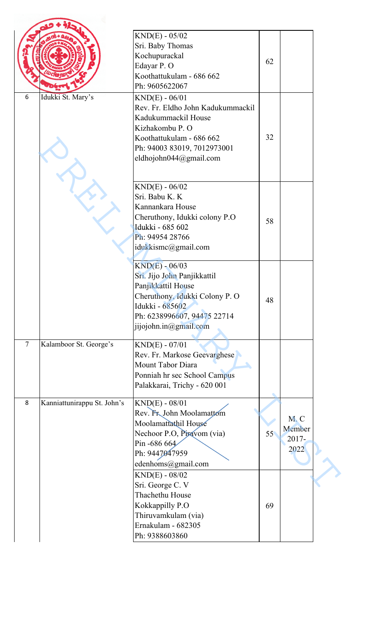|        |                             | $KND(E) - 05/02$<br>Sri. Baby Thomas<br>Kochupurackal<br>Edayar P. O<br>Koothattukulam - 686 662<br>Ph: 9605622067                                                                   | 62 |                                   |  |
|--------|-----------------------------|--------------------------------------------------------------------------------------------------------------------------------------------------------------------------------------|----|-----------------------------------|--|
| 6      | Idukki St. Mary's           | $KND(E) - 06/01$<br>Rev. Fr. Eldho John Kadukummackil<br>Kadukummackil House<br>Kizhakombu P. O<br>Koothattukulam - 686 662<br>Ph: 94003 83019, 7012973001<br>eldhojohn044@gmail.com | 32 |                                   |  |
|        |                             | $KND(E) - 06/02$<br>Sri. Babu K. K<br>Kannankara House<br>Cheruthony, Idukki colony P.O<br>Idukki - 685 602<br>Ph: 94954 28766<br>idukkismc@gmail.com                                | 58 |                                   |  |
|        |                             | $KND(E) - 06/03$<br>Sri. Jijo John Panjikkattil<br>Panjikkattil House<br>Cheruthony, Idukki Colony P. O<br>Idukki - 685602<br>Ph: 6238996607, 94475 22714<br>jijojohn.in@gmail.com   | 48 |                                   |  |
| $\tau$ | Kalamboor St. George's      | $KND(E) - 07/01$<br>Rev. Fr. Markose Geevarghese<br>Mount Tabor Diara<br>Ponniah hr sec School Campus<br>Palakkarai, Trichy - 620 001                                                |    |                                   |  |
| 8      | Kanniattunirappu St. John's | $KND(E) - 08/01$<br>Rev. Fr. John Moolamattom<br>Moolamattathil House<br>Nechoor P.O, Piravom (via)<br>Pin -686 664<br>Ph: 9447047959<br>edenhoms@gmail.com                          | 55 | M.C<br>Member<br>$2017 -$<br>2022 |  |
|        |                             | $KND(E) - 08/02$<br>Sri. George C. V<br>Thachethu House<br>Kokkappilly P.O<br>Thiruvamkulam (via)<br>Ernakulam - 682305<br>Ph: 9388603860                                            | 69 |                                   |  |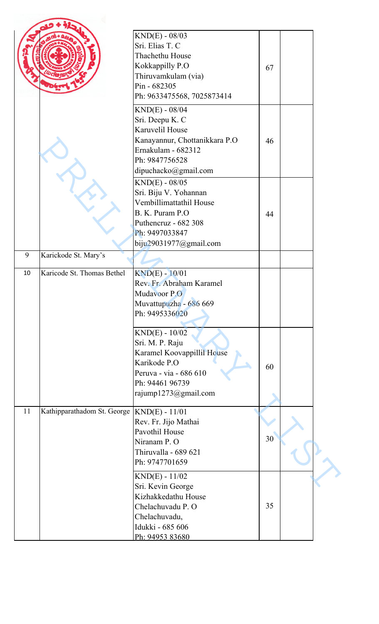|    |                             | $KND(E) - 08/03$<br>Sri. Elias T. C<br>Thachethu House |    |  |
|----|-----------------------------|--------------------------------------------------------|----|--|
|    |                             | Kokkappilly P.O<br>Thiruvamkulam (via)<br>Pin - 682305 | 67 |  |
|    |                             | Ph: 9633475568, 7025873414<br>$KND(E) - 08/04$         |    |  |
|    |                             | Sri. Deepu K. C                                        |    |  |
|    |                             | Karuvelil House                                        |    |  |
|    |                             | Kanayannur, Chottanikkara P.O                          | 46 |  |
|    |                             | Ernakulam - 682312                                     |    |  |
|    |                             | Ph: 9847756528                                         |    |  |
|    |                             | dipuchacko@gmail.com                                   |    |  |
|    |                             | $KND(E) - 08/05$<br>Sri. Biju V. Yohannan              |    |  |
|    |                             | Vembillimattathil House                                |    |  |
|    |                             | B. K. Puram P.O                                        | 44 |  |
|    |                             | Puthencruz - 682 308                                   |    |  |
|    |                             | Ph: 9497033847                                         |    |  |
|    |                             | biju29031977@gmail.com                                 |    |  |
| 9  | Karickode St. Mary's        |                                                        |    |  |
| 10 | Karicode St. Thomas Bethel  | KND(E) - 10/01                                         |    |  |
|    |                             | Rev. Fr. Abraham Karamel                               |    |  |
|    |                             | Mudavoor P.O                                           |    |  |
|    |                             | Muvattupuzha - 686 669<br>Ph: 9495336020               |    |  |
|    |                             |                                                        |    |  |
|    |                             | $KND(E) - 10/02$                                       |    |  |
|    |                             | Sri. M. P. Raju                                        |    |  |
|    |                             | Karamel Koovappillil House                             |    |  |
|    |                             | Karikode P.O                                           | 60 |  |
|    |                             | Peruva - via - 686 610                                 |    |  |
|    |                             | Ph: 94461 96739<br>rajump1273@gmail.com                |    |  |
|    |                             |                                                        |    |  |
| 11 | Kathipparathadom St. George | $KND(E) - 11/01$                                       |    |  |
|    |                             | Rev. Fr. Jijo Mathai                                   |    |  |
|    |                             | Pavothil House                                         | 30 |  |
|    |                             | Niranam P.O<br>Thiruvalla - 689 621                    |    |  |
|    |                             | Ph: 9747701659                                         |    |  |
|    |                             | $KND(E) - 11/02$                                       |    |  |
|    |                             | Sri. Kevin George                                      |    |  |
|    |                             | Kizhakkedathu House                                    |    |  |
|    |                             | Chelachuvadu P. O                                      | 35 |  |
|    |                             | Chelachuvadu,                                          |    |  |
|    |                             | Idukki - 685 606                                       |    |  |
|    |                             | Ph: 94953 83680                                        |    |  |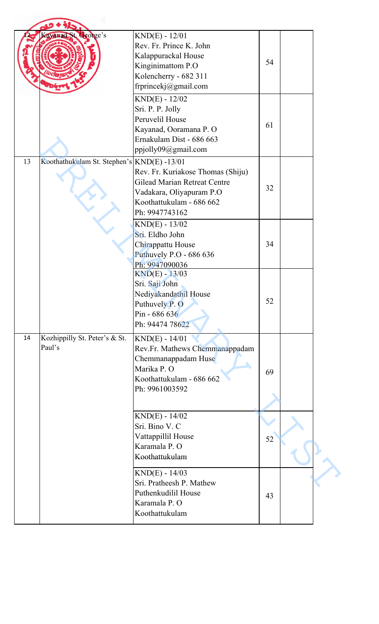|    | Kayanad, St. George's                      | $KND(E) - 12/01$<br>Rev. Fr. Prince K. John<br>Kalappurackal House<br>Kinginimattom P.O<br>Kolencherry - 682 311<br>frprincekj@gmail.com<br>$KND(E) - 12/02$<br>Sri. P. P. Jolly<br>Peruvelil House | 54<br>61 |  |
|----|--------------------------------------------|-----------------------------------------------------------------------------------------------------------------------------------------------------------------------------------------------------|----------|--|
|    |                                            | Kayanad, Ooramana P. O<br>Ernakulam Dist - 686 663<br>ppjolly09@gmail.com                                                                                                                           |          |  |
| 13 | Koothathukulam St. Stephen's KND(E) -13/01 | Rev. Fr. Kuriakose Thomas (Shiju)<br><b>Gilead Marian Retreat Centre</b><br>Vadakara, Oliyapuram P.O<br>Koothattukulam - 686 662<br>Ph: 9947743162                                                  | 32       |  |
|    |                                            | $KND(E) - 13/02$<br>Sri. Eldho John<br>Chirappattu House<br>Puthuvely P.O - 686 636<br>Ph: 9947090036                                                                                               | 34       |  |
|    |                                            | $KND(E) - 13/03$<br>Sri. Saji John<br>Nediyakandathil House<br>Puthuvely P. O<br>Pin - 686 636<br>Ph: 94474 78622                                                                                   | 52       |  |
| 14 | Kozhippilly St. Peter's & St.<br>Paul's    | $KND(E) - 14/01$<br>Rev.Fr. Mathews Chemmanappadam<br>Chemmanappadam Huse<br>Marika P. O<br>Koothattukulam - 686 662<br>Ph: 9961003592                                                              | 69       |  |
|    |                                            | $KND(E) - 14/02$<br>Sri. Bino V. C<br>Vattappillil House<br>Karamala P.O<br>Koothattukulam                                                                                                          | 52       |  |
|    |                                            | $KND(E) - 14/03$<br>Sri. Pratheesh P. Mathew<br>Puthenkudilil House<br>Karamala P.O<br>Koothattukulam                                                                                               | 43       |  |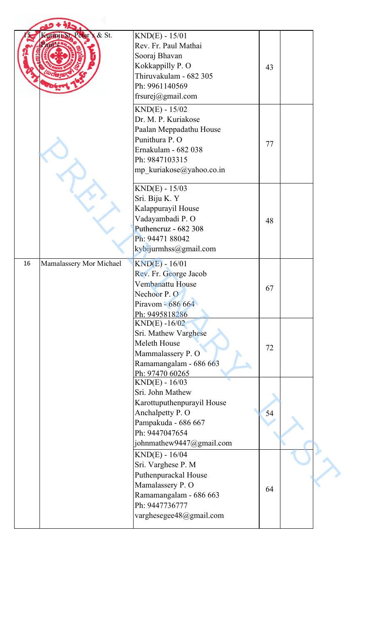|    | Summin St. Peter's & St. | $KND(E) - 15/01$<br>Rev. Fr. Paul Mathai<br>Sooraj Bhavan<br>Kokkappilly P. O<br>Thiruvakulam - 682 305<br>Ph: 9961140569<br>frsurej@gmail.com              | 43 |  |
|----|--------------------------|-------------------------------------------------------------------------------------------------------------------------------------------------------------|----|--|
|    |                          | $KND(E) - 15/02$<br>Dr. M. P. Kuriakose<br>Paalan Meppadathu House<br>Punithura P. O<br>Ernakulam - 682 038<br>Ph: 9847103315<br>mp_kuriakose@yahoo.co.in   | 77 |  |
|    |                          | $KND(E) - 15/03$<br>Sri. Biju K. Y<br>Kalappurayil House<br>Vadayambadi P.O<br>Puthencruz - 682 308<br>Ph: 94471 88042<br>kybijurmhss@gmail.com             | 48 |  |
| 16 | Mamalassery Mor Michael  | $KND(E) - 16/01$<br>Rev. Fr. George Jacob<br>Vembanattu House<br>Nechoor P.O<br>Piravom - 686 664<br>Ph: 9495818286                                         | 67 |  |
|    |                          | $KND(E) - 16/02$<br>Sri. Mathew Varghese<br>Meleth House<br>Mammalassery P. O<br>Ramamangalam - 686 663<br>Ph: 97470 60265                                  | 72 |  |
|    |                          | $KND(E) - 16/03$<br>Sri. John Mathew<br>Karottuputhenpurayil House<br>Anchalpetty P. O<br>Pampakuda - 686 667<br>Ph: 9447047654<br>johnmathew9447@gmail.com | 54 |  |
|    |                          | $KND(E) - 16/04$<br>Sri. Varghese P. M<br>Puthenpurackal House<br>Mamalassery P.O<br>Ramamangalam - 686 663<br>Ph: 9447736777<br>varghesegee48@gmail.com    | 64 |  |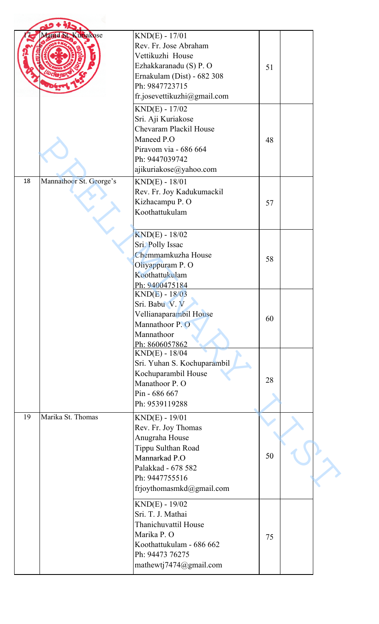| 28 |                                  |  |
|----|----------------------------------|--|
|    |                                  |  |
|    |                                  |  |
|    |                                  |  |
|    |                                  |  |
|    |                                  |  |
|    |                                  |  |
|    |                                  |  |
|    |                                  |  |
|    |                                  |  |
|    |                                  |  |
|    |                                  |  |
|    |                                  |  |
|    |                                  |  |
|    |                                  |  |
|    |                                  |  |
|    |                                  |  |
|    |                                  |  |
| 75 |                                  |  |
|    |                                  |  |
|    |                                  |  |
|    | 51<br>48<br>57<br>58<br>60<br>50 |  |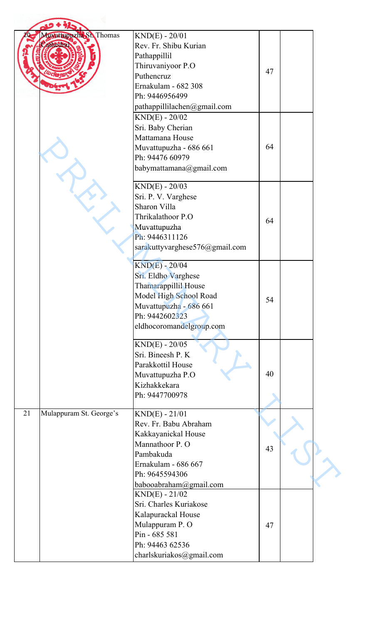|    | Muvatupuzha St. Thomas<br>athedra                                                                                | $KND(E) - 20/01$<br>Rev. Fr. Shibu Kurian<br>Pathappillil<br>Thiruvaniyoor P.O<br>Puthencruz<br>Ernakulam - 682 308<br>Ph: 9446956499<br>pathappillilachen@gmail.com         | 47 |  |
|----|------------------------------------------------------------------------------------------------------------------|------------------------------------------------------------------------------------------------------------------------------------------------------------------------------|----|--|
|    |                                                                                                                  | $KND(E) - 20/02$<br>Sri. Baby Cherian<br>Mattamana House<br>Muvattupuzha - 686 661<br>Ph: 94476 60979<br>babymattamana@gmail.com                                             | 64 |  |
|    |                                                                                                                  | $KND(E) - 20/03$<br>Sri. P. V. Varghese<br>Sharon Villa<br>Thrikalathoor P.O<br>Muvattupuzha<br>Ph: 9446311126<br>sarakuttyvarghese576@gmail.com                             | 64 |  |
|    |                                                                                                                  | $KND(E) - 20/04$<br>Sri. Eldho Varghese<br>Thamarappillil House<br>Model High School Road<br>Muvattupuzha - 686 661<br>Ph: 9442602323<br>eldhocoromandelgroup.com            | 54 |  |
|    | $KND(E) - 20/05$<br>Sri. Bineesh P. K<br>Parakkottil House<br>Muvattupuzha P.O<br>Kizhakkekara<br>Ph: 9447700978 | 40                                                                                                                                                                           |    |  |
| 21 | Mulappuram St. George's                                                                                          | $KND(E) - 21/01$<br>Rev. Fr. Babu Abraham<br>Kakkayanickal House<br>Mannathoor P.O<br>Pambakuda<br>Ernakulam - 686 667<br>Ph: 9645594306                                     | 43 |  |
|    |                                                                                                                  | babooabraham@gmail.com<br>$KND(E) - 21/02$<br>Sri. Charles Kuriakose<br>Kalapurackal House<br>Mulappuram P.O<br>Pin - 685 581<br>Ph: 94463 62536<br>charlskuriakos@gmail.com | 47 |  |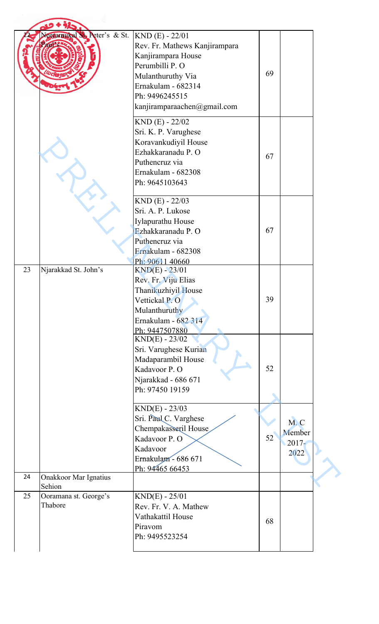|    | ceramukal St. Peter's & St.      | $KND$ (E) - 22/01<br>Rev. Fr. Mathews Kanjirampara<br>Kanjirampara House<br>Perumbilli P. O<br>Mulanthuruthy Via<br>Ernakulam - 682314<br>Ph: 9496245515<br>kanjiramparaachen@gmail.com | 69 |                                   |
|----|----------------------------------|-----------------------------------------------------------------------------------------------------------------------------------------------------------------------------------------|----|-----------------------------------|
|    |                                  | $KND$ (E) - 22/02<br>Sri. K. P. Varughese<br>Koravankudiyil House<br>Ezhakkaranadu P. O<br>Puthencruz via<br>Ernakulam - 682308<br>Ph: 9645103643                                       | 67 |                                   |
|    |                                  | $KND$ (E) - 22/03<br>Sri. A. P. Lukose<br>Iylapurathu House<br>Ezhakkaranadu P. O<br>Puthencruz via<br>Ernakulam - 682308<br>Ph: 90611 40660                                            | 67 |                                   |
| 23 | Njarakkad St. John's             | $KND(E) - 23/01$<br>Rev. Fr. Viju Elias<br>Thanikuzhiyil House<br>Vettickal P.O<br>Mulanthuruthy<br>Ernakulam - 682 314<br>Ph: 9447507880                                               | 39 |                                   |
|    |                                  | $KND(E) - 23/02$<br>Sri. Varughese Kurian<br>Madaparambil House<br>Kadavoor P.O<br>Njarakkad - 686 671<br>Ph: 97450 19159                                                               | 52 |                                   |
|    |                                  | $KND(E) - 23/03$<br>Sri. Paul C. Varghese<br>Chempakasseril House<br>Kadavoor P.O<br>Kadavoor<br>Ernakulam - 686 671<br>Ph: 94465 66453                                                 | 52 | M.C<br>Member<br>$2017 -$<br>2022 |
| 24 | Onakkoor Mar Ignatius<br>Sehion  |                                                                                                                                                                                         |    |                                   |
| 25 | Ooramana st. George's<br>Thabore | $KND(E) - 25/01$<br>Rev. Fr. V. A. Mathew<br>Vathakattil House<br>Piravom<br>Ph: 9495523254                                                                                             | 68 |                                   |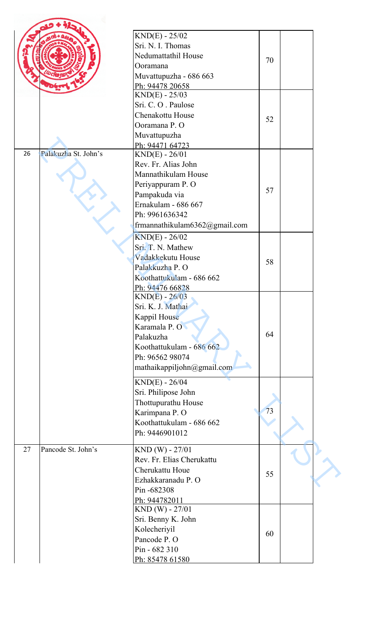|    |                      | $KND(E) - 25/02$                    |    |  |
|----|----------------------|-------------------------------------|----|--|
|    |                      | Sri. N. I. Thomas                   |    |  |
|    |                      | Nedumattathil House                 |    |  |
|    |                      | Ooramana                            | 70 |  |
|    |                      | Muvattupuzha - 686 663              |    |  |
|    |                      |                                     |    |  |
|    |                      | Ph: 94478 20658<br>$KND(E) - 25/03$ |    |  |
|    |                      | Sri. C.O. Paulose                   |    |  |
|    |                      |                                     |    |  |
|    |                      | Chenakottu House                    | 52 |  |
|    |                      | Ooramana P.O                        |    |  |
|    |                      | Muvattupuzha                        |    |  |
|    |                      | Ph: 94471 64723                     |    |  |
| 26 | Palakuzha St. John's | $KND(E) - 26/01$                    |    |  |
|    |                      | Rev. Fr. Alias John                 |    |  |
|    |                      | Mannathikulam House                 |    |  |
|    |                      | Periyappuram P.O                    | 57 |  |
|    |                      | Pampakuda via                       |    |  |
|    |                      | Ernakulam - 686 667                 |    |  |
|    |                      | Ph: 9961636342                      |    |  |
|    |                      | frmannathikulam6362@gmail.com       |    |  |
|    |                      | $KND(E) - 26/02$                    |    |  |
|    |                      | Sri. T. N. Mathew                   |    |  |
|    |                      |                                     |    |  |
|    |                      | Vadakkekutu House                   | 58 |  |
|    |                      | Palakkuzha P. O                     |    |  |
|    |                      | Koothattukulam - 686 662            |    |  |
|    |                      | Ph: 94476 66828                     |    |  |
|    |                      | $KND(E) - 26/03$                    |    |  |
|    |                      | Sri. K. J. Mathai                   |    |  |
|    |                      | Kappil House                        |    |  |
|    |                      | Karamala P.O                        |    |  |
|    |                      | Palakuzha                           | 64 |  |
|    |                      | Koothattukulam - 686 662            |    |  |
|    |                      | Ph: 96562 98074                     |    |  |
|    |                      | mathaikappiljohn@gmail.com          |    |  |
|    |                      |                                     |    |  |
|    |                      | $KND(E) - 26/04$                    |    |  |
|    |                      | Sri. Philipose John                 |    |  |
|    |                      | Thottupurathu House                 |    |  |
|    |                      | Karimpana P.O                       | 73 |  |
|    |                      | Koothattukulam - 686 662            |    |  |
|    |                      | Ph: 9446901012                      |    |  |
|    |                      |                                     |    |  |
| 27 | Pancode St. John's   | KND (W) - 27/01                     |    |  |
|    |                      | Rev. Fr. Elias Cherukattu           |    |  |
|    |                      | Cherukattu Houe                     | 55 |  |
|    |                      | Ezhakkaranadu P. O                  |    |  |
|    |                      | Pin-682308                          |    |  |
|    |                      | Ph: 944782011                       |    |  |
|    |                      |                                     |    |  |
|    |                      | $KND(W) - 27/01$                    |    |  |
|    |                      | Sri. Benny K. John                  |    |  |
|    |                      | Kolecheriyil                        |    |  |
|    |                      | Pancode P.O                         | 60 |  |
|    |                      | Pin - 682 310                       |    |  |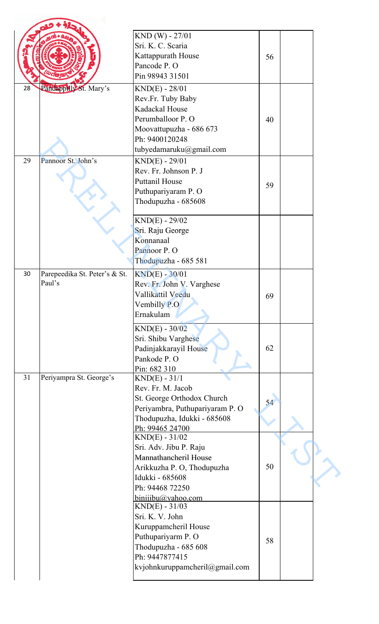|    |                               | KND (W) - 27/01                 |    |  |
|----|-------------------------------|---------------------------------|----|--|
|    |                               | Sri. K. C. Scaria               |    |  |
|    |                               | Kattappurath House              | 56 |  |
|    |                               | Pancode P. O                    |    |  |
|    |                               | Pin 98943 31501                 |    |  |
| 28 | Pandappilly St. Mary's        | $KND(E) - 28/01$                |    |  |
|    |                               | Rev.Fr. Tuby Baby               |    |  |
|    |                               | Kadackal House                  |    |  |
|    |                               | Perumballoor P.O                | 40 |  |
|    |                               | Moovattupuzha - 686 673         |    |  |
|    |                               | Ph: 9400120248                  |    |  |
|    |                               | tubyedamaruku@gmail.com         |    |  |
| 29 | Pannoor St. John's            | $KND(E) - 29/01$                |    |  |
|    |                               | Rev. Fr. Johnson P. J           |    |  |
|    |                               | <b>Puttanil House</b>           |    |  |
|    |                               | Puthupariyaram P. O             | 59 |  |
|    |                               | Thodupuzha - 685608             |    |  |
|    |                               |                                 |    |  |
|    |                               | $KND(E) - 29/02$                |    |  |
|    |                               | Sri. Raju George                |    |  |
|    |                               | Konnanaal                       |    |  |
|    |                               | Pannoor P.O                     |    |  |
|    |                               | Thodupuzha - 685 581            |    |  |
| 30 | Parepeedika St. Peter's & St. | $KND(E) - 30/01$                |    |  |
|    | Paul's                        | Rev. Fr. John V. Varghese       |    |  |
|    |                               | Vallikattil Veedu               | 69 |  |
|    |                               | Vembilly P.O                    |    |  |
|    |                               | Ernakulam                       |    |  |
|    |                               | $KND(E) - 30/02$                |    |  |
|    |                               | Sri. Shibu Varghese             |    |  |
|    |                               | Padinjakkarayil House           | 62 |  |
|    |                               | Pankode P.O                     |    |  |
|    |                               | Pin: 682 310                    |    |  |
| 31 | Periyampra St. George's       | $KND(E) - 31/1$                 |    |  |
|    |                               | Rev. Fr. M. Jacob               |    |  |
|    |                               | St. George Orthodox Church      |    |  |
|    |                               | Periyambra, Puthupariyaram P. O | 54 |  |
|    |                               | Thodupuzha, Idukki - 685608     |    |  |
|    |                               | Ph: 99465 24700                 |    |  |
|    |                               | $KND(E) - 31/02$                |    |  |
|    |                               | Sri. Adv. Jibu P. Raju          |    |  |
|    |                               | Mannathancheril House           |    |  |
|    |                               | Arikkuzha P. O, Thodupuzha      | 50 |  |
|    |                               | Idukki - 685608                 |    |  |
|    |                               | Ph: 94468 72250                 |    |  |
|    |                               | binijibu@yahoo.com              |    |  |
|    |                               | $KND(E) - 31/03$                |    |  |
|    |                               | Sri. K. V. John                 |    |  |
|    |                               | Kuruppamcheril House            |    |  |
|    |                               | Puthupariyarm P. O              | 58 |  |
|    |                               | Thodupuzha - 685 608            |    |  |
|    |                               | Ph: 9447877415                  |    |  |
|    |                               | kvjohnkuruppamcheril@gmail.com  |    |  |
|    |                               |                                 |    |  |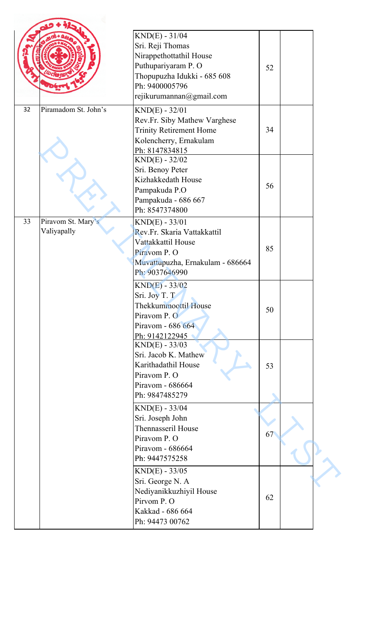|    |                                   | $KND(E) - 31/04$<br>Sri. Reji Thomas<br>Nirappethottathil House<br>Puthupariyaram P. O                                                      | 52 |  |
|----|-----------------------------------|---------------------------------------------------------------------------------------------------------------------------------------------|----|--|
| 32 | Piramadom St. John's              | Thopupuzha Idukki - 685 608<br>Ph: 9400005796<br>rejikurumannan@gmail.com                                                                   |    |  |
|    |                                   | $KND(E) - 32/01$<br>Rev.Fr. Siby Mathew Varghese<br><b>Trinity Retirement Home</b><br>Kolencherry, Ernakulam<br>Ph: 8147834815              | 34 |  |
|    |                                   | $KND(E) - 32/02$<br>Sri. Benoy Peter<br>Kizhakkedath House<br>Pampakuda P.O<br>Pampakuda - 686 667<br>Ph: 8547374800                        | 56 |  |
| 33 | Piravom St. Mary's<br>Valiyapally | $KND(E) - 33/01$<br>Rev.Fr. Skaria Vattakkattil<br>Vattakkattil House<br>Piravom P. O<br>Muvattupuzha, Ernakulam - 686664<br>Ph: 9037646990 | 85 |  |
|    |                                   | $KND(E) - 33/02$<br>Sri. Joy T. T<br>Thekkummoottil House<br>Piravom P. O<br>Piravom - 686 664<br>Ph: 9142122945                            | 50 |  |
|    |                                   | $KND(E) - 33/03$<br>Sri. Jacob K. Mathew<br>Karithadathil House<br>Piravom P. O<br>Piravom - 686664<br>Ph: 9847485279                       | 53 |  |
|    |                                   | $KND(E) - 33/04$<br>Sri. Joseph John<br>Thennasseril House<br>Piravom P. O<br>Piravom - 686664                                              | 67 |  |
|    |                                   | Ph: 9447575258<br>$KND(E) - 33/05$<br>Sri. George N. A<br>Nediyanikkuzhiyil House<br>Pirvom P.O<br>Kakkad - 686 664<br>Ph: 94473 00762      | 62 |  |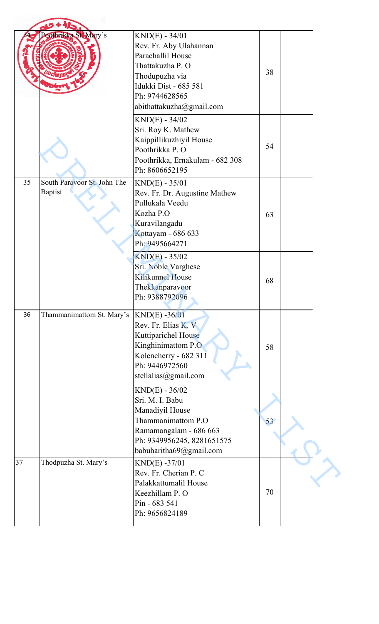|    | Poothrikka St. Mary's                         | $KND(E) - 34/01$<br>Rev. Fr. Aby Ulahannan<br>Parachallil House                                                                                                 |    |  |
|----|-----------------------------------------------|-----------------------------------------------------------------------------------------------------------------------------------------------------------------|----|--|
|    |                                               | Thattakuzha P. O<br>Thodupuzha via<br>Idukki Dist - 685 581<br>Ph: 9744628565<br>abithattakuzha@gmail.com                                                       | 38 |  |
|    |                                               | $KND(E) - 34/02$<br>Sri. Roy K. Mathew<br>Kaippillikuzhiyil House<br>Poothrikka P. O<br>Poothrikka, Ernakulam - 682 308<br>Ph: 8606652195                       | 54 |  |
| 35 | South Paravoor St. John The<br><b>Baptist</b> | $KND(E) - 35/01$<br>Rev. Fr. Dr. Augustine Mathew<br>Pullukala Veedu<br>Kozha P.O<br>Kuravilangadu<br>Kottayam - 686 633<br>Ph: 9495664271                      | 63 |  |
|    |                                               | $KND(E) - 35/02$<br>Sri. Noble Varghese<br><b>Kilikunnel House</b><br>Thekkanparavoor<br>Ph: 9388792096                                                         | 68 |  |
| 36 | Thammanimattom St. Mary's                     | $KND(E) - 36/01$<br>Rev. Fr. Elias K. V<br>Kuttiparichel House<br>Kinghinimattom P.O.<br>Kolencherry - 682 311<br>Ph: 9446972560<br>stellalias@gmail.com        | 58 |  |
|    |                                               | $KND(E) - 36/02$<br>Sri. M. I. Babu<br>Manadiyil House<br>Thammanimattom P.O<br>Ramamangalam - 686 663<br>Ph: 9349956245, 8281651575<br>babuharitha69@gmail.com | 53 |  |
| 37 | Thodpuzha St. Mary's                          | $KND(E) -37/01$<br>Rev. Fr. Cherian P. C<br>Palakkattumalil House<br>Keezhillam P. O<br>Pin - 683 541<br>Ph: 9656824189                                         | 70 |  |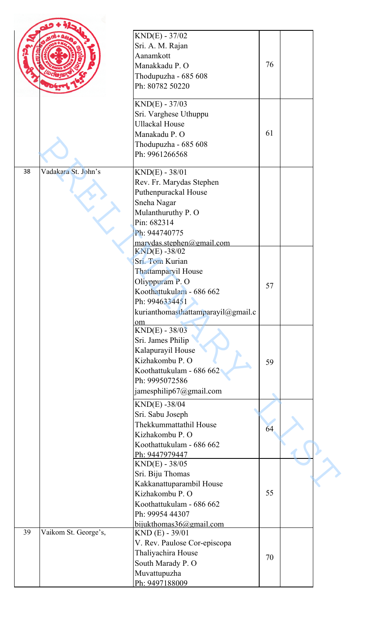|    |                      | $KND(E) - 37/02$                   |    |  |
|----|----------------------|------------------------------------|----|--|
|    |                      | Sri. A. M. Rajan                   |    |  |
|    |                      | Aanamkott                          |    |  |
|    |                      | Manakkadu P. O                     | 76 |  |
|    |                      | Thodupuzha - 685 608               |    |  |
|    |                      | Ph: 80782 50220                    |    |  |
|    |                      |                                    |    |  |
|    |                      | $KND(E) - 37/03$                   |    |  |
|    |                      | Sri. Varghese Uthuppu              |    |  |
|    |                      | <b>Ullackal House</b>              | 61 |  |
|    |                      | Manakadu P. O                      |    |  |
|    |                      | Thodupuzha - 685 608               |    |  |
|    |                      | Ph: 9961266568                     |    |  |
| 38 | Vadakara St. John's  | $KND(E) - 38/01$                   |    |  |
|    |                      | Rev. Fr. Marydas Stephen           |    |  |
|    |                      | Puthenpurackal House               |    |  |
|    |                      | Sneha Nagar                        |    |  |
|    |                      | Mulanthuruthy P. O                 |    |  |
|    |                      | Pin: 682314                        |    |  |
|    |                      | Ph: 944740775                      |    |  |
|    |                      | marvdas.stephen@gmail.com          |    |  |
|    |                      | $KND(E) - 38/02$                   |    |  |
|    |                      | Sri. Tom Kurian                    |    |  |
|    |                      | Thattamparyil House                |    |  |
|    |                      | Oliyppuram P.O                     | 57 |  |
|    |                      | Koothattukulam - 686 662           |    |  |
|    |                      | Ph: 9946334451                     |    |  |
|    |                      | kurianthomasthattamparayil@gmail.c |    |  |
|    |                      | om<br>$KND(E) - 38/03$             |    |  |
|    |                      | Sri. James Philip                  |    |  |
|    |                      | Kalapurayil House                  |    |  |
|    |                      | Kizhakombu P. O                    | 59 |  |
|    |                      | Koothattukulam - 686 662           |    |  |
|    |                      | Ph: 9995072586                     |    |  |
|    |                      | jamesphilip67@gmail.com            |    |  |
|    |                      | KND(E) -38/04                      |    |  |
|    |                      | Sri. Sabu Joseph                   |    |  |
|    |                      | Thekkummattathil House             |    |  |
|    |                      | Kizhakombu P. O                    | 64 |  |
|    |                      | Koothattukulam - 686 662           |    |  |
|    |                      | Ph: 9447979447                     |    |  |
|    |                      | $KND(E) - 38/05$                   |    |  |
|    |                      | Sri. Biju Thomas                   |    |  |
|    |                      | Kakkanattuparambil House           |    |  |
|    |                      | Kizhakombu P. O                    | 55 |  |
|    |                      | Koothattukulam - 686 662           |    |  |
|    |                      | Ph: 99954 44307                    |    |  |
|    |                      | bijukthomas36@gmail.com            |    |  |
| 39 | Vaikom St. George's, | $KND$ (E) - 39/01                  |    |  |
|    |                      | V. Rev. Paulose Cor-episcopa       |    |  |
|    |                      | Thaliyachira House                 | 70 |  |
|    |                      | South Marady P. O                  |    |  |
|    |                      | Muvattupuzha                       |    |  |
|    |                      | Ph: 9497188009                     |    |  |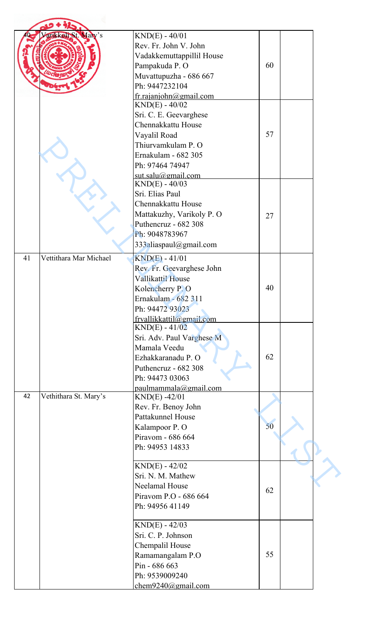|    | arikkoli St. Mary's    | $KND(E) - 40/01$                             |    |  |
|----|------------------------|----------------------------------------------|----|--|
|    |                        | Rev. Fr. John V. John                        |    |  |
|    |                        | Vadakkemuttappillil House                    |    |  |
|    |                        | Pampakuda P. O                               | 60 |  |
|    |                        |                                              |    |  |
|    |                        | Muvattupuzha - 686 667<br>Ph: 9447232104     |    |  |
|    |                        |                                              |    |  |
|    |                        | fr. rajaniohn@gmail.com<br>$KND(E) - 40/02$  |    |  |
|    |                        |                                              |    |  |
|    |                        | Sri. C. E. Geevarghese<br>Chennakkattu House |    |  |
|    |                        |                                              | 57 |  |
|    |                        | Vayalil Road                                 |    |  |
|    |                        | Thiurvamkulam P. O                           |    |  |
|    |                        | Ernakulam - 682 305                          |    |  |
|    |                        | Ph: 97464 74947                              |    |  |
|    |                        | sut.salu@email.com                           |    |  |
|    |                        | $KND(E) - 40/03$                             |    |  |
|    |                        | Sri. Elias Paul                              |    |  |
|    |                        | Chennakkattu House                           |    |  |
|    |                        | Mattakuzhy, Varikoly P. O                    | 27 |  |
|    |                        | Puthencruz - 682 308                         |    |  |
|    |                        | Ph: 9048783967                               |    |  |
|    |                        | 333aliaspaul@gmail.com                       |    |  |
| 41 | Vettithara Mar Michael | $KND(E) - 41/01$                             |    |  |
|    |                        | Rev. Fr. Geevarghese John                    |    |  |
|    |                        | Vallikattil House                            |    |  |
|    |                        | Kolencherry P.O                              | 40 |  |
|    |                        | Ernakulam - 682 311                          |    |  |
|    |                        | Ph: 94472 93023                              |    |  |
|    |                        | frvallikkattil@gmail.com                     |    |  |
|    |                        | $KND(E) - 41/02$                             |    |  |
|    |                        | Sri. Adv. Paul Varghese M                    |    |  |
|    |                        | Mamala Veedu                                 |    |  |
|    |                        | Ezhakkaranadu P. O                           | 62 |  |
|    |                        | Puthencruz - 682 308                         |    |  |
|    |                        | Ph: 94473 03063                              |    |  |
|    |                        | paulmammala@gmail.com                        |    |  |
| 42 | Vethithara St. Mary's  | $KND(E) -42/01$                              |    |  |
|    |                        | Rev. Fr. Benoy John                          |    |  |
|    |                        | Pattakunnel House                            |    |  |
|    |                        | Kalampoor P.O                                | 50 |  |
|    |                        | Piravom - 686 664                            |    |  |
|    |                        | Ph: 94953 14833                              |    |  |
|    |                        |                                              |    |  |
|    |                        | $KND(E) - 42/02$                             |    |  |
|    |                        | Sri. N. M. Mathew                            |    |  |
|    |                        | Neelamal House                               |    |  |
|    |                        | Piravom P.O - 686 664                        | 62 |  |
|    |                        | Ph: 94956 41149                              |    |  |
|    |                        |                                              |    |  |
|    |                        | $KND(E) - 42/03$                             |    |  |
|    |                        | Sri. C. P. Johnson                           |    |  |
|    |                        | Chempalil House                              |    |  |
|    |                        | Ramamangalam P.O                             | 55 |  |
|    |                        |                                              |    |  |
|    |                        | Pin - 686 663                                |    |  |
|    |                        | Ph: 9539009240                               |    |  |
|    |                        | chem9240@gmail.com                           |    |  |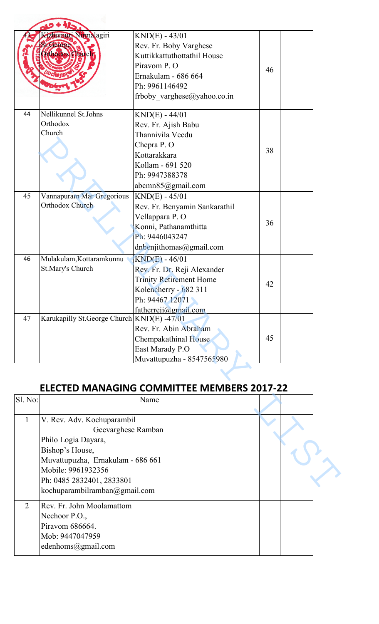|         | Kizhumur Nirmalagiri                       | $KND(E) - 43/01$                                  |    |  |
|---------|--------------------------------------------|---------------------------------------------------|----|--|
|         | St.George                                  | Rev. Fr. Boby Varghese                            |    |  |
|         | <b>Irthedox Churc</b>                      | Kuttikkattuthottathil House                       |    |  |
|         |                                            | Piravom P. O                                      |    |  |
|         |                                            | Ernakulam - 686 664                               | 46 |  |
|         |                                            | Ph: 9961146492                                    |    |  |
|         |                                            | frboby varghese@yahoo.co.in                       |    |  |
|         |                                            |                                                   |    |  |
| 44      | Nellikunnel St.Johns                       | $KND(E) - 44/01$                                  |    |  |
|         | Orthodox                                   | Rev. Fr. Ajish Babu                               |    |  |
|         | Church                                     | Thannivila Veedu                                  |    |  |
|         |                                            | Chepra P.O                                        |    |  |
|         |                                            | Kottarakkara                                      | 38 |  |
|         |                                            | Kollam - 691 520                                  |    |  |
|         |                                            | Ph: 9947388378                                    |    |  |
|         |                                            | abcmn85@gmail.com                                 |    |  |
| 45      | Vannapuram Mar Gregorious                  | $KND(E) - 45/01$                                  |    |  |
|         | Orthodox Church                            | Rev. Fr. Benyamin Sankarathil                     |    |  |
|         |                                            | Vellappara P. O                                   |    |  |
|         |                                            | Konni, Pathanamthitta                             | 36 |  |
|         |                                            |                                                   |    |  |
|         |                                            | Ph: 9446043247                                    |    |  |
|         |                                            | dnbenjithomas@gmail.com                           |    |  |
| 46      | Mulakulam, Kottaramkunnu                   | $KND(E) - 46/01$                                  |    |  |
|         | St.Mary's Church                           | Rev. Fr. Dr. Reji Alexander                       |    |  |
|         |                                            | <b>Trinity Retirement Home</b>                    | 42 |  |
|         |                                            | Kolencherry - 682 311                             |    |  |
|         |                                            | Ph: 94467 12071                                   |    |  |
|         |                                            | fatherreji@gmail.com                              |    |  |
| 47      | Karukapilly St.George Church KND(E) -47/01 |                                                   |    |  |
|         |                                            | Rev. Fr. Abin Abraham                             |    |  |
|         |                                            | Chempakathinal House                              | 45 |  |
|         |                                            | East Marady P.O                                   |    |  |
|         |                                            | Muvattupuzha - 8547565980                         |    |  |
|         |                                            |                                                   |    |  |
|         |                                            |                                                   |    |  |
|         |                                            | <b>ELECTED MANAGING COMMITTEE MEMBERS 2017-22</b> |    |  |
| Sl. No: |                                            | Name                                              |    |  |
|         |                                            |                                                   |    |  |
| 1       | V. Rev. Adv. Kochuparambil                 |                                                   |    |  |
|         | Geevarghese Ramban                         |                                                   |    |  |
|         | Philo Logia Dayara,                        |                                                   |    |  |
|         | Bishop's House,                            |                                                   |    |  |
|         | Muvattupuzha, Ernakulam - 686 661          |                                                   |    |  |
|         | Mobile: 9961932356                         |                                                   |    |  |
|         |                                            |                                                   |    |  |
|         | Ph: 0485 2832401, 2833801                  |                                                   |    |  |

## **ELECTED MANAGING COMMITTEE MEMBERS 2017-22**

| Sl. No:        | Name                                                                                                                                                                                                                |  |  |
|----------------|---------------------------------------------------------------------------------------------------------------------------------------------------------------------------------------------------------------------|--|--|
|                | V. Rev. Adv. Kochuparambil<br>Geevarghese Ramban<br>Philo Logia Dayara,<br>Bishop's House,<br>Muvattupuzha, Ernakulam - 686 661<br>Mobile: 9961932356<br>Ph: 0485 2832401, 2833801<br>kochuparambilramban@gmail.com |  |  |
| $\overline{2}$ | Rev. Fr. John Moolamattom<br>Nechoor P.O.,<br>Piravom 686664.<br>Mob: 9447047959<br>edenhoms@gmail.com                                                                                                              |  |  |